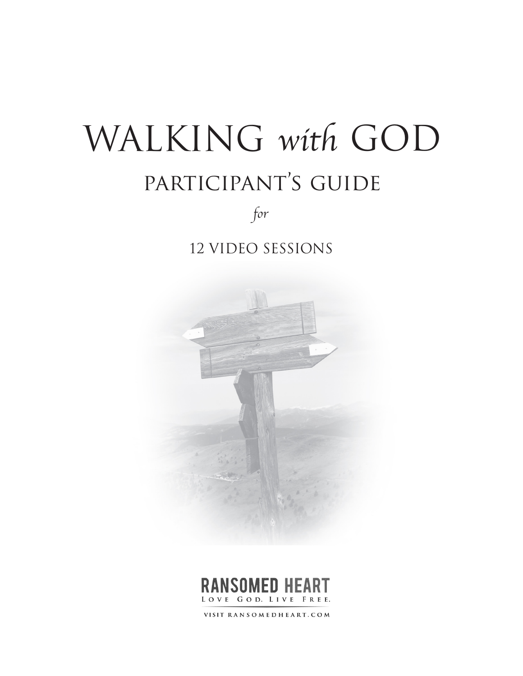# WALKING with GOD participant's guide

*for*

#### 12 VIDEO SESSIONS





VISIT RANSOMEDHEART.COM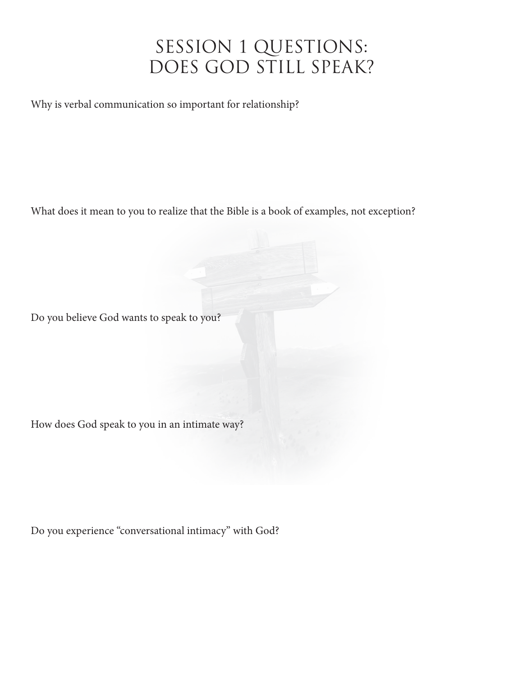# SESSION 1 QUESTIONS: DOES GOD STILL SPEAK?

Why is verbal communication so important for relationship?

What does it mean to you to realize that the Bible is a book of examples, not exception?

Do you believe God wants to speak to you?

How does God speak to you in an intimate way?

Do you experience "conversational intimacy" with God?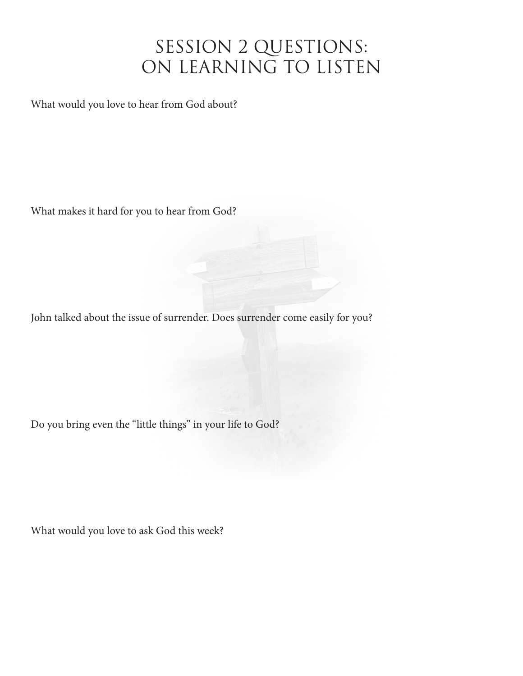### SESSION 2 QUESTIONS: ON LEARNING TO LISTEN

What would you love to hear from God about?

What makes it hard for you to hear from God?

John talked about the issue of surrender. Does surrender come easily for you?

Do you bring even the "little things" in your life to God?

What would you love to ask God this week?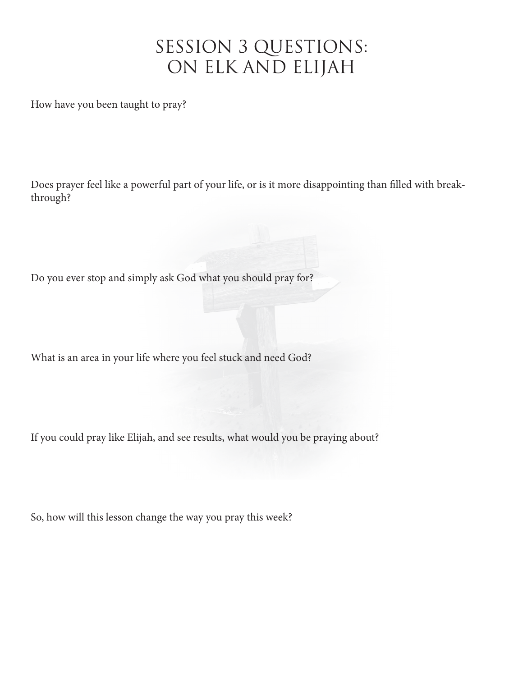# SESSION 3 QUESTIONS: ON ELK AND ELIJAH

How have you been taught to pray?

Does prayer feel like a powerful part of your life, or is it more disappointing than filled with breakthrough?

Do you ever stop and simply ask God what you should pray for?

What is an area in your life where you feel stuck and need God?

If you could pray like Elijah, and see results, what would you be praying about?

So, how will this lesson change the way you pray this week?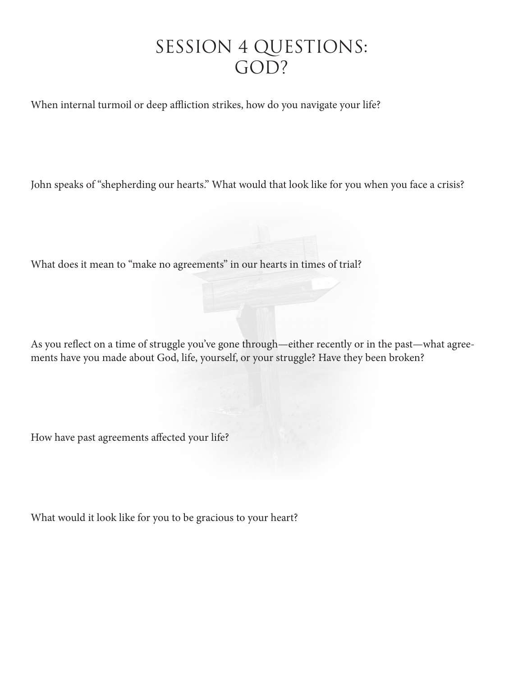### SESSION 4 QUESTIONS: GOD?

When internal turmoil or deep affliction strikes, how do you navigate your life?

John speaks of "shepherding our hearts." What would that look like for you when you face a crisis?

What does it mean to "make no agreements" in our hearts in times of trial?

As you reflect on a time of struggle you've gone through—either recently or in the past—what agreements have you made about God, life, yourself, or your struggle? Have they been broken?

How have past agreements affected your life?

What would it look like for you to be gracious to your heart?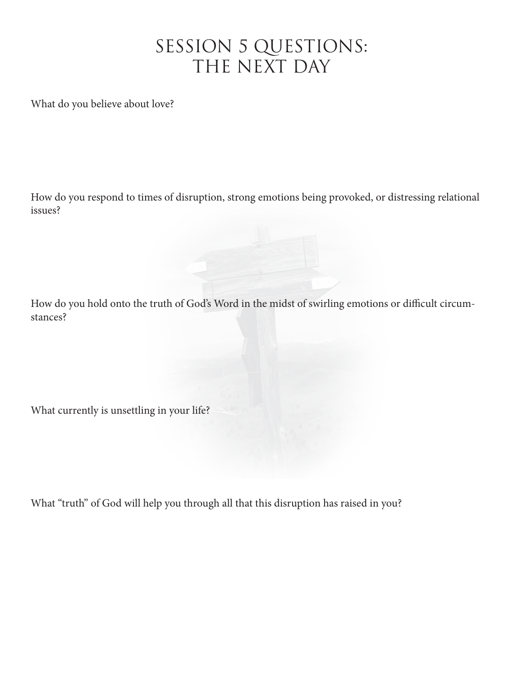#### SESSION 5 QUESTIONS: THE NEXT DAY

What do you believe about love?

How do you respond to times of disruption, strong emotions being provoked, or distressing relational issues?

How do you hold onto the truth of God's Word in the midst of swirling emotions or difficult circumstances?

What currently is unsettling in your life?

What "truth" of God will help you through all that this disruption has raised in you?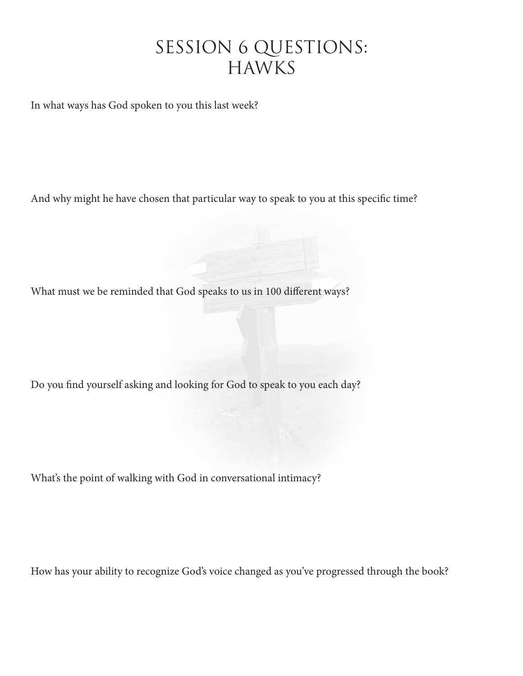#### SESSION 6 QUESTIONS: **HAWKS**

In what ways has God spoken to you this last week?

And why might he have chosen that particular way to speak to you at this specific time?

What must we be reminded that God speaks to us in 100 different ways?

Do you find yourself asking and looking for God to speak to you each day?

What's the point of walking with God in conversational intimacy?

How has your ability to recognize God's voice changed as you've progressed through the book?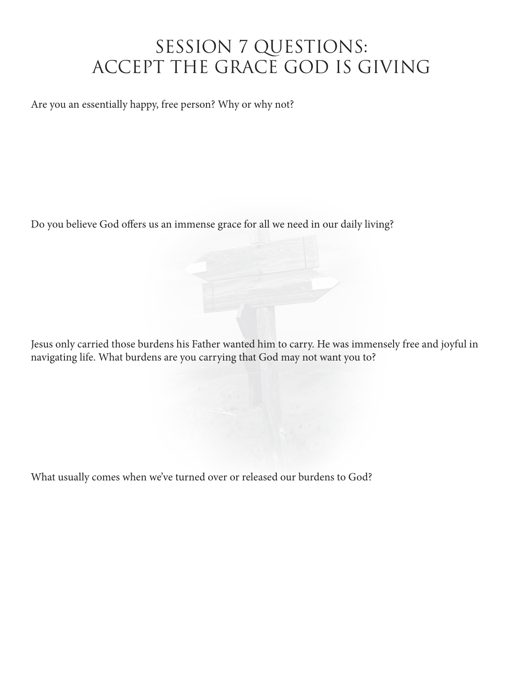# SESSION 7 QUESTIONS: ACCEPT THE GRACE GOD IS GIVING

Are you an essentially happy, free person? Why or why not?

Do you believe God offers us an immense grace for all we need in our daily living?

Jesus only carried those burdens his Father wanted him to carry. He was immensely free and joyful in navigating life. What burdens are you carrying that God may not want you to?

What usually comes when we've turned over or released our burdens to God?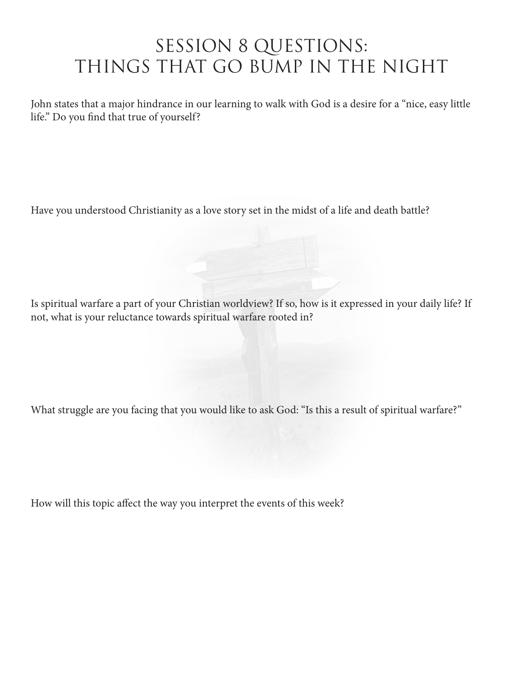# SESSION 8 QUESTIONS: THINGS THAT GO BUMP IN THE NIGHT

John states that a major hindrance in our learning to walk with God is a desire for a "nice, easy little life." Do you find that true of yourself?

Have you understood Christianity as a love story set in the midst of a life and death battle?

Is spiritual warfare a part of your Christian worldview? If so, how is it expressed in your daily life? If not, what is your reluctance towards spiritual warfare rooted in?

What struggle are you facing that you would like to ask God: "Is this a result of spiritual warfare?"

How will this topic affect the way you interpret the events of this week?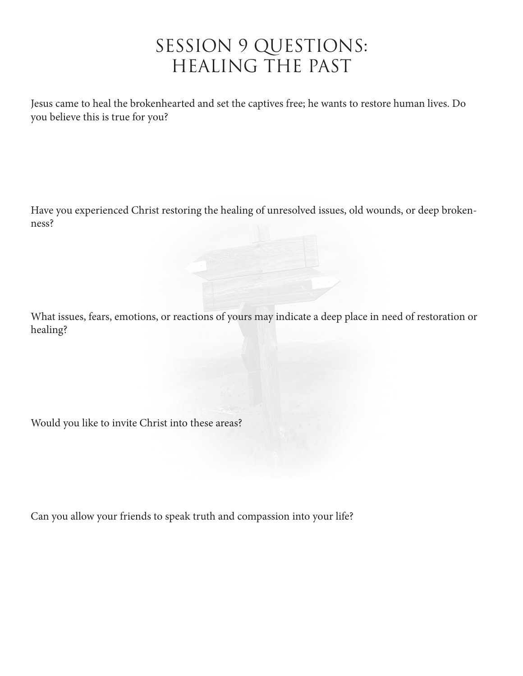#### SESSION 9 QUESTIONS: HEALING THE PAST

Jesus came to heal the brokenhearted and set the captives free; he wants to restore human lives. Do you believe this is true for you?

Have you experienced Christ restoring the healing of unresolved issues, old wounds, or deep brokenness?

What issues, fears, emotions, or reactions of yours may indicate a deep place in need of restoration or healing?

Would you like to invite Christ into these areas?

Can you allow your friends to speak truth and compassion into your life?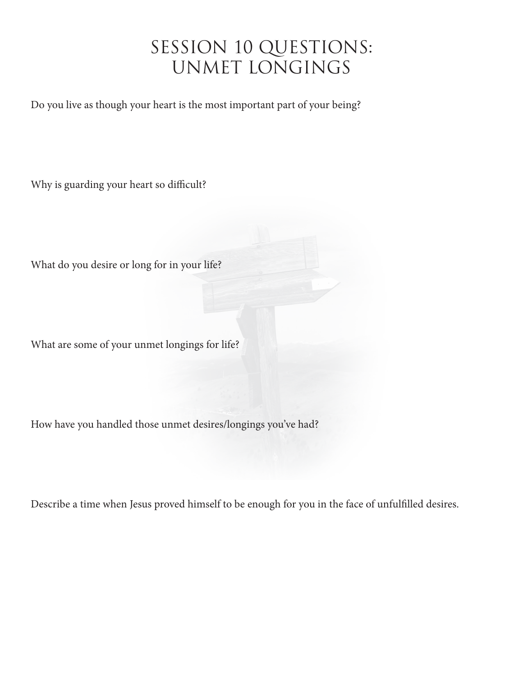### SESSION 10 QUESTIONS: UNMET LONGINGS

Do you live as though your heart is the most important part of your being?

Why is guarding your heart so difficult?

What do you desire or long for in your life?

What are some of your unmet longings for life?

How have you handled those unmet desires/longings you've had?

Describe a time when Jesus proved himself to be enough for you in the face of unfulfilled desires.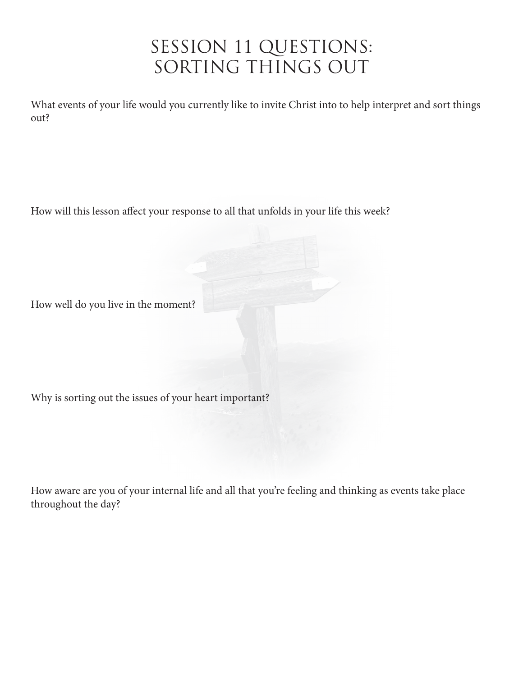# SESSION 11 QUESTIONS: SORTING THINGS OUT

What events of your life would you currently like to invite Christ into to help interpret and sort things out?

How will this lesson affect your response to all that unfolds in your life this week?

How well do you live in the moment?

Why is sorting out the issues of your heart important?

How aware are you of your internal life and all that you're feeling and thinking as events take place throughout the day?